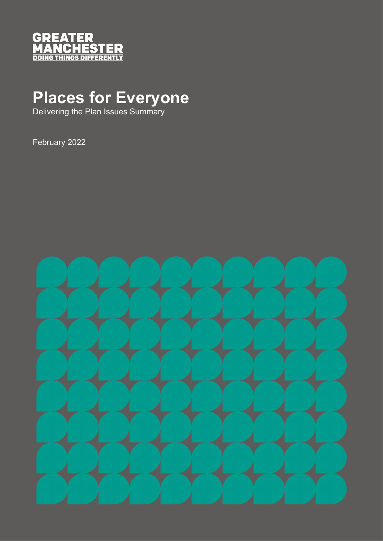

# **Places for Everyone**

Delivering the Plan Issues Summary

February 2022

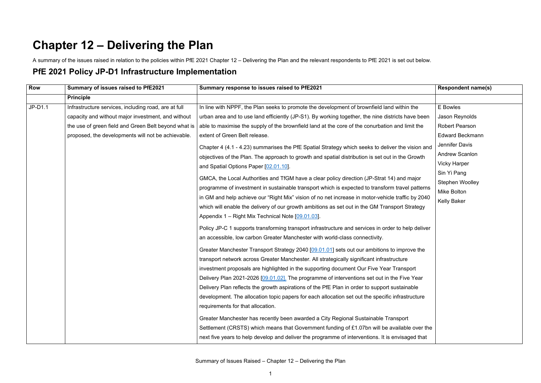## **Chapter 12 – Delivering the Plan**

A summary of the issues raised in relation to the policies within PfE 2021 Chapter 12 – Delivering the Plan and the relevant respondents to PfE 2021 is set out below.

#### **PfE 2021 Policy JP-D1 Infrastructure Implementation**

| Row     | Summary of issues raised to PfE2021                  | Summary response to issues raised to PfE2021                                                       | <b>Respondent name(s)</b> |
|---------|------------------------------------------------------|----------------------------------------------------------------------------------------------------|---------------------------|
|         | <b>Principle</b>                                     |                                                                                                    |                           |
| JP-D1.1 | Infrastructure services, including road, are at full | In line with NPPF, the Plan seeks to promote the development of brownfield land within the         | E Bowles                  |
|         | capacity and without major investment, and without   | urban area and to use land efficiently (JP-S1). By working together, the nine districts have been  | Jason Reynolds            |
|         | the use of green field and Green Belt beyond what is | able to maximise the supply of the brownfield land at the core of the conurbation and limit the    | <b>Robert Pearson</b>     |
|         | proposed, the developments will not be achievable.   | extent of Green Belt release.                                                                      | <b>Edward Beckmann</b>    |
|         |                                                      | Chapter 4 (4.1 - 4.23) summarises the PfE Spatial Strategy which seeks to deliver the vision and   | Jennifer Davis            |
|         |                                                      | objectives of the Plan. The approach to growth and spatial distribution is set out in the Growth   | <b>Andrew Scanlon</b>     |
|         |                                                      | and Spatial Options Paper [02.01.10].                                                              | <b>Vicky Harper</b>       |
|         |                                                      |                                                                                                    | Sin Yi Pang               |
|         |                                                      | GMCA, the Local Authorities and TfGM have a clear policy direction (JP-Strat 14) and major         | Stephen Woolley           |
|         |                                                      | programme of investment in sustainable transport which is expected to transform travel patterns    | Mike Bolton               |
|         |                                                      | in GM and help achieve our "Right Mix" vision of no net increase in motor-vehicle traffic by 2040  | <b>Kelly Baker</b>        |
|         |                                                      | which will enable the delivery of our growth ambitions as set out in the GM Transport Strategy     |                           |
|         |                                                      | Appendix 1 - Right Mix Technical Note [09.01.03].                                                  |                           |
|         |                                                      | Policy JP-C 1 supports transforming transport infrastructure and services in order to help deliver |                           |
|         |                                                      | an accessible, low carbon Greater Manchester with world-class connectivity.                        |                           |
|         |                                                      | Greater Manchester Transport Strategy 2040 [09.01.01] sets out our ambitions to improve the        |                           |
|         |                                                      | transport network across Greater Manchester. All strategically significant infrastructure          |                           |
|         |                                                      | investment proposals are highlighted in the supporting document Our Five Year Transport            |                           |
|         |                                                      | Delivery Plan 2021-2026 [09.01.02]. The programme of interventions set out in the Five Year        |                           |
|         |                                                      | Delivery Plan reflects the growth aspirations of the PfE Plan in order to support sustainable      |                           |
|         |                                                      | development. The allocation topic papers for each allocation set out the specific infrastructure   |                           |
|         |                                                      | requirements for that allocation.                                                                  |                           |
|         |                                                      | Greater Manchester has recently been awarded a City Regional Sustainable Transport                 |                           |
|         |                                                      | Settlement (CRSTS) which means that Government funding of £1.07bn will be available over the       |                           |
|         |                                                      |                                                                                                    |                           |
|         |                                                      | next five years to help develop and deliver the programme of interventions. It is envisaged that   |                           |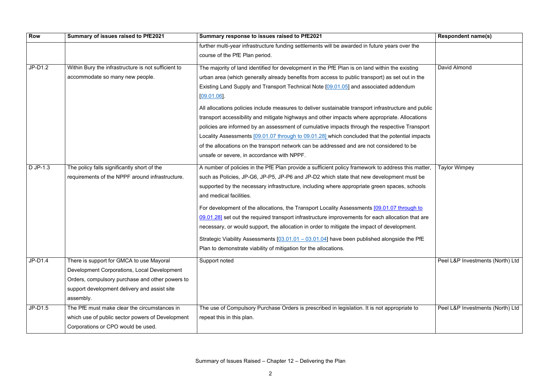| <b>Row</b> | Summary of issues raised to PfE2021                 | Summary response to issues raised to PfE2021                                                         | <b>Respondent name(s)</b>        |
|------------|-----------------------------------------------------|------------------------------------------------------------------------------------------------------|----------------------------------|
|            |                                                     | further multi-year infrastructure funding settlements will be awarded in future years over the       |                                  |
|            |                                                     | course of the PfE Plan period.                                                                       |                                  |
| $JP-D1.2$  | Within Bury the infrastructure is not sufficient to | The majority of land identified for development in the PfE Plan is on land within the existing       | David Almond                     |
|            | accommodate so many new people.                     | urban area (which generally already benefits from access to public transport) as set out in the      |                                  |
|            |                                                     | Existing Land Supply and Transport Technical Note [09.01.05] and associated addendum                 |                                  |
|            |                                                     | [09.01.06]                                                                                           |                                  |
|            |                                                     | All allocations policies include measures to deliver sustainable transport infrastructure and public |                                  |
|            |                                                     | transport accessibility and mitigate highways and other impacts where appropriate. Allocations       |                                  |
|            |                                                     | policies are informed by an assessment of cumulative impacts through the respective Transport        |                                  |
|            |                                                     | Locality Assessments [09.01.07 through to 09.01.28] which concluded that the potential impacts       |                                  |
|            |                                                     | of the allocations on the transport network can be addressed and are not considered to be            |                                  |
|            |                                                     | unsafe or severe, in accordance with NPPF.                                                           |                                  |
| D JP-1.3   | The policy falls significantly short of the         | A number of policies in the PfE Plan provide a sufficient policy framework to address this matter,   | <b>Taylor Wimpey</b>             |
|            | requirements of the NPPF around infrastructure.     | such as Policies, JP-G6, JP-P5, JP-P6 and JP-D2 which state that new development must be             |                                  |
|            |                                                     | supported by the necessary infrastructure, including where appropriate green spaces, schools         |                                  |
|            |                                                     | and medical facilities.                                                                              |                                  |
|            |                                                     | For development of the allocations, the Transport Locality Assessments [09.01.07 through to          |                                  |
|            |                                                     | 09.01.28] set out the required transport infrastructure improvements for each allocation that are    |                                  |
|            |                                                     | necessary, or would support, the allocation in order to mitigate the impact of development.          |                                  |
|            |                                                     | Strategic Viability Assessments $[03.01.01 - 03.01.04]$ have been published alongside the PfE        |                                  |
|            |                                                     | Plan to demonstrate viability of mitigation for the allocations.                                     |                                  |
| $JP-D1.4$  | There is support for GMCA to use Mayoral            | Support noted                                                                                        | Peel L&P Investments (North) Ltd |
|            | Development Corporations, Local Development         |                                                                                                      |                                  |
|            | Orders, compulsory purchase and other powers to     |                                                                                                      |                                  |
|            | support development delivery and assist site        |                                                                                                      |                                  |
|            | assembly.                                           |                                                                                                      |                                  |
| $JP-D1.5$  | The PfE must make clear the circumstances in        | The use of Compulsory Purchase Orders is prescribed in legislation. It is not appropriate to         | Peel L&P Investments (North) Ltd |
|            | which use of public sector powers of Development    | repeat this in this plan.                                                                            |                                  |
|            | Corporations or CPO would be used.                  |                                                                                                      |                                  |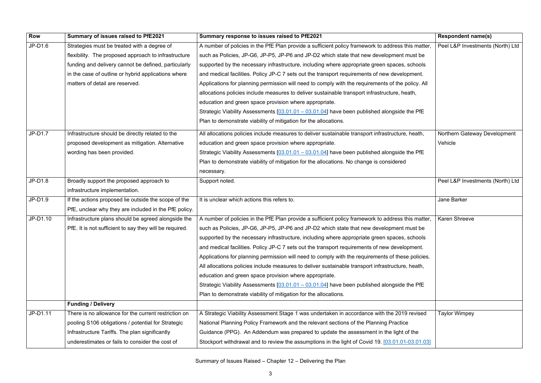| <b>Row</b> | Summary of issues raised to PfE2021                     | Summary response to issues raised to PfE2021                                                       | <b>Respondent name(s)</b>        |
|------------|---------------------------------------------------------|----------------------------------------------------------------------------------------------------|----------------------------------|
| $JP-D1.6$  | Strategies must be treated with a degree of             | A number of policies in the PfE Plan provide a sufficient policy framework to address this matter, | Peel L&P Investments (North) Ltd |
|            | flexibility. The proposed approach to infrastructure    | such as Policies, JP-G6, JP-P5, JP-P6 and JP-D2 which state that new development must be           |                                  |
|            | funding and delivery cannot be defined, particularly    | supported by the necessary infrastructure, including where appropriate green spaces, schools       |                                  |
|            | in the case of outline or hybrid applications where     | and medical facilities. Policy JP-C 7 sets out the transport requirements of new development.      |                                  |
|            | matters of detail are reserved.                         | Applications for planning permission will need to comply with the requirements of the policy. All  |                                  |
|            |                                                         | allocations policies include measures to deliver sustainable transport infrastructure, heath,      |                                  |
|            |                                                         | education and green space provision where appropriate.                                             |                                  |
|            |                                                         | Strategic Viability Assessments $[03.01.01 - 03.01.04]$ have been published alongside the PfE      |                                  |
|            |                                                         | Plan to demonstrate viability of mitigation for the allocations.                                   |                                  |
| $JP-D1.7$  | Infrastructure should be directly related to the        | All allocations policies include measures to deliver sustainable transport infrastructure, heath,  | Northern Gateway Development     |
|            | proposed development as mitigation. Alternative         | education and green space provision where appropriate.                                             | Vehicle                          |
|            | wording has been provided.                              | Strategic Viability Assessments $[03.01.01 - 03.01.04]$ have been published alongside the PfE      |                                  |
|            |                                                         | Plan to demonstrate viability of mitigation for the allocations. No change is considered           |                                  |
|            |                                                         | necessary.                                                                                         |                                  |
| $JP-D1.8$  | Broadly support the proposed approach to                | Support noted.                                                                                     | Peel L&P Investments (North) Ltd |
|            | infrastructure implementation.                          |                                                                                                    |                                  |
| JP-D1.9    | If the actions proposed lie outside the scope of the    | It is unclear which actions this refers to.                                                        | Jane Barker                      |
|            | PfE, unclear why they are included in the PfE policy.   |                                                                                                    |                                  |
| JP-D1.10   | Infrastructure plans should be agreed alongside the     | A number of policies in the PfE Plan provide a sufficient policy framework to address this matter, | <b>Karen Shreeve</b>             |
|            | PfE. It is not sufficient to say they will be required. | such as Policies, JP-G6, JP-P5, JP-P6 and JP-D2 which state that new development must be           |                                  |
|            |                                                         | supported by the necessary infrastructure, including where appropriate green spaces, schools       |                                  |
|            |                                                         | and medical facilities. Policy JP-C 7 sets out the transport requirements of new development.      |                                  |
|            |                                                         | Applications for planning permission will need to comply with the requirements of these policies.  |                                  |
|            |                                                         | All allocations policies include measures to deliver sustainable transport infrastructure, heath,  |                                  |
|            |                                                         | education and green space provision where appropriate.                                             |                                  |
|            |                                                         | Strategic Viability Assessments $[03.01.01 - 03.01.04]$ have been published alongside the PfE      |                                  |
|            |                                                         | Plan to demonstrate viability of mitigation for the allocations.                                   |                                  |
|            | <b>Funding / Delivery</b>                               |                                                                                                    |                                  |
| JP-D1.11   | There is no allowance for the current restriction on    | A Strategic Viability Assessment Stage 1 was undertaken in accordance with the 2019 revised        | <b>Taylor Wimpey</b>             |
|            | pooling S106 obligations / potential for Strategic      | National Planning Policy Framework and the relevant sections of the Planning Practice              |                                  |
|            | Infrastructure Tariffs. The plan significantly          | Guidance (PPG). An Addendum was prepared to update the assessment in the light of the              |                                  |
|            | underestimates or fails to consider the cost of         | Stockport withdrawal and to review the assumptions in the light of Covid 19. [03.01.01-03.01.03]   |                                  |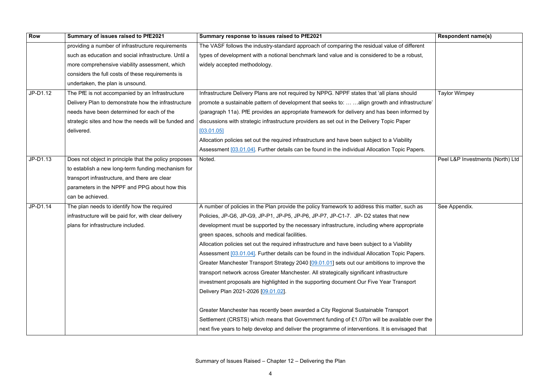| Row      | Summary of issues raised to PfE2021                   | Summary response to issues raised to PfE2021                                                     | <b>Respondent name(s)</b>        |
|----------|-------------------------------------------------------|--------------------------------------------------------------------------------------------------|----------------------------------|
|          | providing a number of infrastructure requirements     | The VASF follows the industry-standard approach of comparing the residual value of different     |                                  |
|          | such as education and social infrastructure. Until a  | types of development with a notional benchmark land value and is considered to be a robust,      |                                  |
|          | more comprehensive viability assessment, which        | widely accepted methodology.                                                                     |                                  |
|          | considers the full costs of these requirements is     |                                                                                                  |                                  |
|          | undertaken, the plan is unsound.                      |                                                                                                  |                                  |
| JP-D1.12 | The PfE is not accompanied by an Infrastructure       | Infrastructure Delivery Plans are not required by NPPG. NPPF states that 'all plans should       | <b>Taylor Wimpey</b>             |
|          | Delivery Plan to demonstrate how the infrastructure   | promote a sustainable pattern of development that seeks to:   align growth and infrastructure'   |                                  |
|          | needs have been determined for each of the            | (paragraph 11a). PfE provides an appropriate framework for delivery and has been informed by     |                                  |
|          | strategic sites and how the needs will be funded and  | discussions with strategic infrastructure providers as set out in the Delivery Topic Paper       |                                  |
|          | delivered.                                            | [03.01.05]                                                                                       |                                  |
|          |                                                       | Allocation policies set out the required infrastructure and have been subject to a Viability     |                                  |
|          |                                                       | Assessment [03.01.04]. Further details can be found in the individual Allocation Topic Papers.   |                                  |
| JP-D1.13 | Does not object in principle that the policy proposes | Noted.                                                                                           | Peel L&P Investments (North) Ltd |
|          | to establish a new long-term funding mechanism for    |                                                                                                  |                                  |
|          | transport infrastructure, and there are clear         |                                                                                                  |                                  |
|          | parameters in the NPPF and PPG about how this         |                                                                                                  |                                  |
|          | can be achieved.                                      |                                                                                                  |                                  |
| JP-D1.14 | The plan needs to identify how the required           | A number of policies in the Plan provide the policy framework to address this matter, such as    | See Appendix.                    |
|          | infrastructure will be paid for, with clear delivery  | Policies, JP-G6, JP-G9, JP-P1, JP-P5, JP-P6, JP-P7, JP-C1-7. JP-D2 states that new               |                                  |
|          | plans for infrastructure included.                    | development must be supported by the necessary infrastructure, including where appropriate       |                                  |
|          |                                                       | green spaces, schools and medical facilities.                                                    |                                  |
|          |                                                       | Allocation policies set out the required infrastructure and have been subject to a Viability     |                                  |
|          |                                                       | Assessment [03.01.04]. Further details can be found in the individual Allocation Topic Papers.   |                                  |
|          |                                                       | Greater Manchester Transport Strategy 2040 [09.01.01] sets out our ambitions to improve the      |                                  |
|          |                                                       | transport network across Greater Manchester. All strategically significant infrastructure        |                                  |
|          |                                                       | investment proposals are highlighted in the supporting document Our Five Year Transport          |                                  |
|          |                                                       | Delivery Plan 2021-2026 [09.01.02].                                                              |                                  |
|          |                                                       | Greater Manchester has recently been awarded a City Regional Sustainable Transport               |                                  |
|          |                                                       | Settlement (CRSTS) which means that Government funding of £1.07bn will be available over the     |                                  |
|          |                                                       | next five years to help develop and deliver the programme of interventions. It is envisaged that |                                  |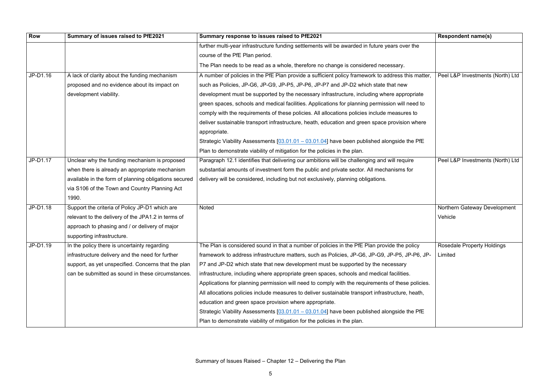| Row      | Summary of issues raised to PfE2021                   | Summary response to issues raised to PfE2021                                                       | <b>Respondent name(s)</b>         |
|----------|-------------------------------------------------------|----------------------------------------------------------------------------------------------------|-----------------------------------|
|          |                                                       | further multi-year infrastructure funding settlements will be awarded in future years over the     |                                   |
|          |                                                       | course of the PfE Plan period.                                                                     |                                   |
|          |                                                       | The Plan needs to be read as a whole, therefore no change is considered necessary.                 |                                   |
| JP-D1.16 | A lack of clarity about the funding mechanism         | A number of policies in the PfE Plan provide a sufficient policy framework to address this matter, | Peel L&P Investments (North) Ltd  |
|          | proposed and no evidence about its impact on          | such as Policies, JP-G6, JP-G9, JP-P5, JP-P6, JP-P7 and JP-D2 which state that new                 |                                   |
|          | development viability.                                | development must be supported by the necessary infrastructure, including where appropriate         |                                   |
|          |                                                       | green spaces, schools and medical facilities. Applications for planning permission will need to    |                                   |
|          |                                                       | comply with the requirements of these policies. All allocations policies include measures to       |                                   |
|          |                                                       | deliver sustainable transport infrastructure, heath, education and green space provision where     |                                   |
|          |                                                       | appropriate.                                                                                       |                                   |
|          |                                                       | Strategic Viability Assessments $[03.01.01 - 03.01.04]$ have been published alongside the PfE      |                                   |
|          |                                                       | Plan to demonstrate viability of mitigation for the policies in the plan.                          |                                   |
| JP-D1.17 | Unclear why the funding mechanism is proposed         | Paragraph 12.1 identifies that delivering our ambitions will be challenging and will require       | Peel L&P Investments (North) Ltd  |
|          | when there is already an appropriate mechanism        | substantial amounts of investment form the public and private sector. All mechanisms for           |                                   |
|          | available in the form of planning obligations secured | delivery will be considered, including but not exclusively, planning obligations.                  |                                   |
|          | via S106 of the Town and Country Planning Act         |                                                                                                    |                                   |
|          | 1990.                                                 |                                                                                                    |                                   |
| JP-D1.18 | Support the criteria of Policy JP-D1 which are        | Noted                                                                                              | Northern Gateway Development      |
|          | relevant to the delivery of the JPA1.2 in terms of    |                                                                                                    | Vehicle                           |
|          | approach to phasing and / or delivery of major        |                                                                                                    |                                   |
|          | supporting infrastructure.                            |                                                                                                    |                                   |
| JP-D1.19 | In the policy there is uncertainty regarding          | The Plan is considered sound in that a number of policies in the PfE Plan provide the policy       | <b>Rosedale Property Holdings</b> |
|          | infrastructure delivery and the need for further      | framework to address infrastructure matters, such as Policies, JP-G6, JP-G9, JP-P5, JP-P6, JP-     | Limited                           |
|          | support, as yet unspecified. Concerns that the plan   | P7 and JP-D2 which state that new development must be supported by the necessary                   |                                   |
|          | can be submitted as sound in these circumstances.     | infrastructure, including where appropriate green spaces, schools and medical facilities.          |                                   |
|          |                                                       | Applications for planning permission will need to comply with the requirements of these policies.  |                                   |
|          |                                                       | All allocations policies include measures to deliver sustainable transport infrastructure, heath,  |                                   |
|          |                                                       | education and green space provision where appropriate.                                             |                                   |
|          |                                                       | Strategic Viability Assessments $[03.01.01 - 03.01.04]$ have been published alongside the PfE      |                                   |
|          |                                                       | Plan to demonstrate viability of mitigation for the policies in the plan.                          |                                   |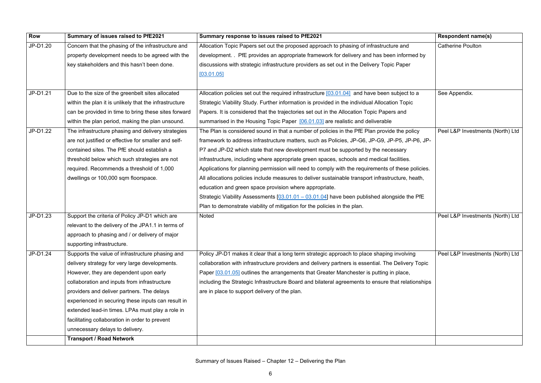| <b>Row</b> | Summary of issues raised to PfE2021                    | Summary response to issues raised to PfE2021                                                       | <b>Respondent name(s)</b>        |
|------------|--------------------------------------------------------|----------------------------------------------------------------------------------------------------|----------------------------------|
| JP-D1.20   | Concern that the phasing of the infrastructure and     | Allocation Topic Papers set out the proposed approach to phasing of infrastructure and             | <b>Catherine Poulton</b>         |
|            | property development needs to be agreed with the       | development. . PfE provides an appropriate framework for delivery and has been informed by         |                                  |
|            | key stakeholders and this hasn't been done.            | discussions with strategic infrastructure providers as set out in the Delivery Topic Paper         |                                  |
|            |                                                        | [03.01.05]                                                                                         |                                  |
|            |                                                        |                                                                                                    |                                  |
| JP-D1.21   | Due to the size of the greenbelt sites allocated       | Allocation policies set out the required infrastructure [03.01.04] and have been subject to a      | See Appendix.                    |
|            | within the plan it is unlikely that the infrastructure | Strategic Viability Study. Further information is provided in the individual Allocation Topic      |                                  |
|            | can be provided in time to bring these sites forward   | Papers. It is considered that the trajectories set out in the Allocation Topic Papers and          |                                  |
|            | within the plan period, making the plan unsound.       | summarised in the Housing Topic Paper [06.01.03] are realistic and deliverable                     |                                  |
| JP-D1.22   | The infrastructure phasing and delivery strategies     | The Plan is considered sound in that a number of policies in the PfE Plan provide the policy       | Peel L&P Investments (North) Ltd |
|            | are not justified or effective for smaller and self-   | framework to address infrastructure matters, such as Policies, JP-G6, JP-G9, JP-P5, JP-P6, JP-     |                                  |
|            | contained sites. The PfE should establish a            | P7 and JP-D2 which state that new development must be supported by the necessary                   |                                  |
|            | threshold below which such strategies are not          | infrastructure, including where appropriate green spaces, schools and medical facilities.          |                                  |
|            | required. Recommends a threshold of 1,000              | Applications for planning permission will need to comply with the requirements of these policies.  |                                  |
|            | dwellings or 100,000 sqm floorspace.                   | All allocations policies include measures to deliver sustainable transport infrastructure, heath,  |                                  |
|            |                                                        | education and green space provision where appropriate.                                             |                                  |
|            |                                                        | Strategic Viability Assessments $[03.01.01 - 03.01.04]$ have been published alongside the PfE      |                                  |
|            |                                                        | Plan to demonstrate viability of mitigation for the policies in the plan.                          |                                  |
| JP-D1.23   | Support the criteria of Policy JP-D1 which are         | Noted                                                                                              | Peel L&P Investments (North) Ltd |
|            | relevant to the delivery of the JPA1.1 in terms of     |                                                                                                    |                                  |
|            | approach to phasing and / or delivery of major         |                                                                                                    |                                  |
|            | supporting infrastructure.                             |                                                                                                    |                                  |
| JP-D1.24   | Supports the value of infrastructure phasing and       | Policy JP-D1 makes it clear that a long term strategic approach to place shaping involving         | Peel L&P Investments (North) Ltd |
|            | delivery strategy for very large developments.         | collaboration with infrastructure providers and delivery partners is essential. The Delivery Topic |                                  |
|            | However, they are dependent upon early                 | Paper [03.01.05] outlines the arrangements that Greater Manchester is putting in place,            |                                  |
|            | collaboration and inputs from infrastructure           | including the Strategic Infrastructure Board and bilateral agreements to ensure that relationships |                                  |
|            | providers and deliver partners. The delays             | are in place to support delivery of the plan.                                                      |                                  |
|            | experienced in securing these inputs can result in     |                                                                                                    |                                  |
|            | extended lead-in times. LPAs must play a role in       |                                                                                                    |                                  |
|            | facilitating collaboration in order to prevent         |                                                                                                    |                                  |
|            | unnecessary delays to delivery.                        |                                                                                                    |                                  |
|            | <b>Transport / Road Network</b>                        |                                                                                                    |                                  |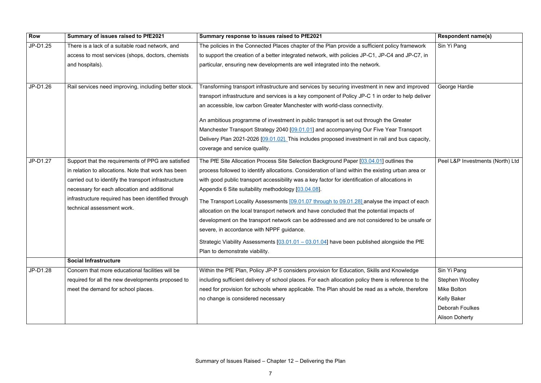| <b>Row</b> | Summary of issues raised to PfE2021                   | Summary response to issues raised to PfE2021                                                         | <b>Respondent name(s)</b>        |
|------------|-------------------------------------------------------|------------------------------------------------------------------------------------------------------|----------------------------------|
| JP-D1.25   | There is a lack of a suitable road network, and       | The policies in the Connected Places chapter of the Plan provide a sufficient policy framework       | Sin Yi Pang                      |
|            | access to most services (shops, doctors, chemists     | to support the creation of a better integrated network, with policies JP-C1, JP-C4 and JP-C7, in     |                                  |
|            | and hospitals).                                       | particular, ensuring new developments are well integrated into the network.                          |                                  |
| JP-D1.26   | Rail services need improving, including better stock. | Transforming transport infrastructure and services by securing investment in new and improved        | George Hardie                    |
|            |                                                       | transport infrastructure and services is a key component of Policy JP-C 1 in order to help deliver   |                                  |
|            |                                                       | an accessible, low carbon Greater Manchester with world-class connectivity.                          |                                  |
|            |                                                       | An ambitious programme of investment in public transport is set out through the Greater              |                                  |
|            |                                                       | Manchester Transport Strategy 2040 [09.01.01] and accompanying Our Five Year Transport               |                                  |
|            |                                                       | Delivery Plan 2021-2026 [09.01.02]. This includes proposed investment in rail and bus capacity,      |                                  |
|            |                                                       | coverage and service quality.                                                                        |                                  |
| JP-D1.27   | Support that the requirements of PPG are satisfied    | The PfE Site Allocation Process Site Selection Background Paper [03.04.01] outlines the              | Peel L&P Investments (North) Ltd |
|            | in relation to allocations. Note that work has been   | process followed to identify allocations. Consideration of land within the existing urban area or    |                                  |
|            | carried out to identify the transport infrastructure  | with good public transport accessibility was a key factor for identification of allocations in       |                                  |
|            | necessary for each allocation and additional          | Appendix 6 Site suitability methodology [03.04.08].                                                  |                                  |
|            | infrastructure required has been identified through   | The Transport Locality Assessments [09.01.07 through to 09.01.28] analyse the impact of each         |                                  |
|            | technical assessment work.                            | allocation on the local transport network and have concluded that the potential impacts of           |                                  |
|            |                                                       | development on the transport network can be addressed and are not considered to be unsafe or         |                                  |
|            |                                                       | severe, in accordance with NPPF guidance.                                                            |                                  |
|            |                                                       | Strategic Viability Assessments $[03.01.01 - 03.01.04]$ have been published alongside the PfE        |                                  |
|            |                                                       | Plan to demonstrate viability.                                                                       |                                  |
|            | <b>Social Infrastructure</b>                          |                                                                                                      |                                  |
| JP-D1.28   | Concern that more educational facilities will be      | Within the PfE Plan, Policy JP-P 5 considers provision for Education, Skills and Knowledge           | Sin Yi Pang                      |
|            | required for all the new developments proposed to     | including sufficient delivery of school places. For each allocation policy there is reference to the | Stephen Woolley                  |
|            | meet the demand for school places.                    | need for provision for schools where applicable. The Plan should be read as a whole, therefore       | Mike Bolton                      |
|            |                                                       | no change is considered necessary                                                                    | <b>Kelly Baker</b>               |
|            |                                                       |                                                                                                      | <b>Deborah Foulkes</b>           |
|            |                                                       |                                                                                                      | <b>Alison Doherty</b>            |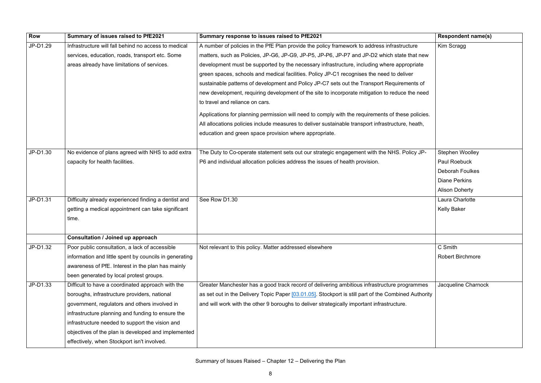| Row      | Summary of issues raised to PfE2021                    | Summary response to issues raised to PfE2021                                                         | <b>Respondent name(s)</b> |
|----------|--------------------------------------------------------|------------------------------------------------------------------------------------------------------|---------------------------|
| JP-D1.29 | Infrastructure will fall behind no access to medical   | A number of policies in the PfE Plan provide the policy framework to address infrastructure          | Kim Scragg                |
|          | services, education, roads, transport etc. Some        | matters, such as Policies, JP-G6, JP-G9, JP-P5, JP-P6, JP-P7 and JP-D2 which state that new          |                           |
|          | areas already have limitations of services.            | development must be supported by the necessary infrastructure, including where appropriate           |                           |
|          |                                                        | green spaces, schools and medical facilities. Policy JP-C1 recognises the need to deliver            |                           |
|          |                                                        | sustainable patterns of development and Policy JP-C7 sets out the Transport Requirements of          |                           |
|          |                                                        | new development, requiring development of the site to incorporate mitigation to reduce the need      |                           |
|          |                                                        | to travel and reliance on cars.                                                                      |                           |
|          |                                                        | Applications for planning permission will need to comply with the requirements of these policies.    |                           |
|          |                                                        | All allocations policies include measures to deliver sustainable transport infrastructure, heath,    |                           |
|          |                                                        | education and green space provision where appropriate.                                               |                           |
| JP-D1.30 | No evidence of plans agreed with NHS to add extra      | The Duty to Co-operate statement sets out our strategic engagement with the NHS. Policy JP-          | Stephen Woolley           |
|          | capacity for health facilities.                        | P6 and individual allocation policies address the issues of health provision.                        | Paul Roebuck              |
|          |                                                        |                                                                                                      | <b>Deborah Foulkes</b>    |
|          |                                                        |                                                                                                      | <b>Diane Perkins</b>      |
|          |                                                        |                                                                                                      | <b>Alison Doherty</b>     |
| JP-D1.31 | Difficulty already experienced finding a dentist and   | See Row D1.30                                                                                        | Laura Charlotte           |
|          | getting a medical appointment can take significant     |                                                                                                      | <b>Kelly Baker</b>        |
|          | time.                                                  |                                                                                                      |                           |
|          |                                                        |                                                                                                      |                           |
|          | <b>Consultation / Joined up approach</b>               |                                                                                                      |                           |
| JP-D1.32 | Poor public consultation, a lack of accessible         | Not relevant to this policy. Matter addressed elsewhere                                              | C Smith                   |
|          | information and little spent by councils in generating |                                                                                                      | <b>Robert Birchmore</b>   |
|          | awareness of PfE. Interest in the plan has mainly      |                                                                                                      |                           |
|          | been generated by local protest groups.                |                                                                                                      |                           |
| JP-D1.33 | Difficult to have a coordinated approach with the      | Greater Manchester has a good track record of delivering ambitious infrastructure programmes         | Jacqueline Charnock       |
|          | boroughs, infrastructure providers, national           | as set out in the Delivery Topic Paper [03.01.05]. Stockport is still part of the Combined Authority |                           |
|          | government, regulators and others involved in          | and will work with the other 9 boroughs to deliver strategically important infrastructure.           |                           |
|          | infrastructure planning and funding to ensure the      |                                                                                                      |                           |
|          | infrastructure needed to support the vision and        |                                                                                                      |                           |
|          | objectives of the plan is developed and implemented    |                                                                                                      |                           |
|          | effectively, when Stockport isn't involved.            |                                                                                                      |                           |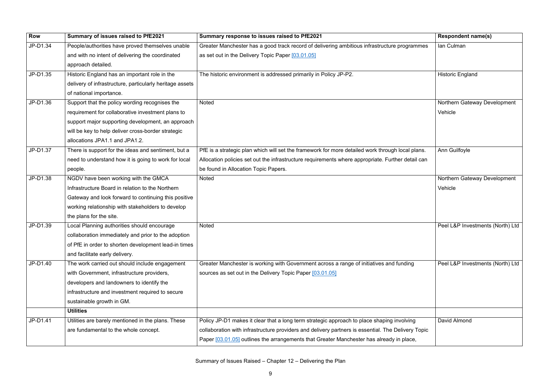| <b>Row</b> | Summary of issues raised to PfE2021                      | Summary response to issues raised to PfE2021                                                       | <b>Respondent name(s)</b>        |
|------------|----------------------------------------------------------|----------------------------------------------------------------------------------------------------|----------------------------------|
| JP-D1.34   | People/authorities have proved themselves unable         | Greater Manchester has a good track record of delivering ambitious infrastructure programmes       | Ian Culman                       |
|            | and with no intent of delivering the coordinated         | as set out in the Delivery Topic Paper [03.01.05]                                                  |                                  |
|            | approach detailed.                                       |                                                                                                    |                                  |
| JP-D1.35   | Historic England has an important role in the            | The historic environment is addressed primarily in Policy JP-P2.                                   | <b>Historic England</b>          |
|            | delivery of infrastructure, particularly heritage assets |                                                                                                    |                                  |
|            | of national importance.                                  |                                                                                                    |                                  |
| JP-D1.36   | Support that the policy wording recognises the           | <b>Noted</b>                                                                                       | Northern Gateway Development     |
|            | requirement for collaborative investment plans to        |                                                                                                    | Vehicle                          |
|            | support major supporting development, an approach        |                                                                                                    |                                  |
|            | will be key to help deliver cross-border strategic       |                                                                                                    |                                  |
|            | allocations JPA1.1 and JPA1.2.                           |                                                                                                    |                                  |
| JP-D1.37   | There is support for the ideas and sentiment, but a      | PfE is a strategic plan which will set the framework for more detailed work through local plans.   | Ann Guilfoyle                    |
|            | need to understand how it is going to work for local     | Allocation policies set out the infrastructure requirements where appropriate. Further detail can  |                                  |
|            | people.                                                  | be found in Allocation Topic Papers.                                                               |                                  |
| JP-D1.38   | NGDV have been working with the GMCA                     | <b>Noted</b>                                                                                       | Northern Gateway Development     |
|            | Infrastructure Board in relation to the Northern         |                                                                                                    | Vehicle                          |
|            | Gateway and look forward to continuing this positive     |                                                                                                    |                                  |
|            | working relationship with stakeholders to develop        |                                                                                                    |                                  |
|            | the plans for the site.                                  |                                                                                                    |                                  |
| JP-D1.39   | Local Planning authorities should encourage              | <b>Noted</b>                                                                                       | Peel L&P Investments (North) Ltd |
|            | collaboration immediately and prior to the adoption      |                                                                                                    |                                  |
|            | of PfE in order to shorten development lead-in times     |                                                                                                    |                                  |
|            | and facilitate early delivery.                           |                                                                                                    |                                  |
| JP-D1.40   | The work carried out should include engagement           | Greater Manchester is working with Government across a range of initiatives and funding            | Peel L&P Investments (North) Ltd |
|            | with Government, infrastructure providers,               | sources as set out in the Delivery Topic Paper [03.01.05]                                          |                                  |
|            | developers and landowners to identify the                |                                                                                                    |                                  |
|            | infrastructure and investment required to secure         |                                                                                                    |                                  |
|            | sustainable growth in GM.                                |                                                                                                    |                                  |
|            | <b>Utilities</b>                                         |                                                                                                    |                                  |
| JP-D1.41   | Utilities are barely mentioned in the plans. These       | Policy JP-D1 makes it clear that a long term strategic approach to place shaping involving         | David Almond                     |
|            | are fundamental to the whole concept.                    | collaboration with infrastructure providers and delivery partners is essential. The Delivery Topic |                                  |
|            |                                                          | Paper [03.01.05] outlines the arrangements that Greater Manchester has already in place,           |                                  |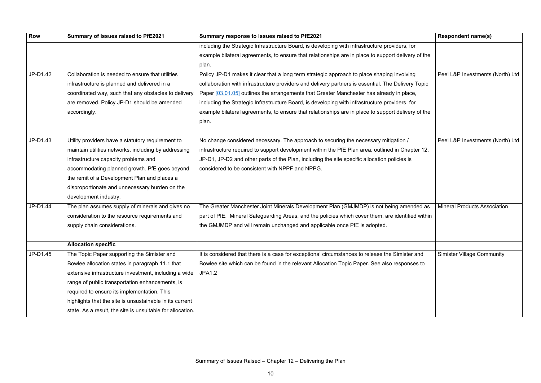| <b>Row</b> | Summary of issues raised to PfE2021                        | Summary response to issues raised to PfE2021                                                       | <b>Respondent name(s)</b>       |
|------------|------------------------------------------------------------|----------------------------------------------------------------------------------------------------|---------------------------------|
|            |                                                            | including the Strategic Infrastructure Board, is developing with infrastructure providers, for     |                                 |
|            |                                                            | example bilateral agreements, to ensure that relationships are in place to support delivery of the |                                 |
|            |                                                            | plan.                                                                                              |                                 |
| JP-D1.42   | Collaboration is needed to ensure that utilities           | Policy JP-D1 makes it clear that a long term strategic approach to place shaping involving         | <b>Peel L&amp;P Investments</b> |
|            | infrastructure is planned and delivered in a               | collaboration with infrastructure providers and delivery partners is essential. The Delivery Topic |                                 |
|            | coordinated way, such that any obstacles to delivery       | Paper [03.01.05] outlines the arrangements that Greater Manchester has already in place,           |                                 |
|            | are removed. Policy JP-D1 should be amended                | including the Strategic Infrastructure Board, is developing with infrastructure providers, for     |                                 |
|            | accordingly.                                               | example bilateral agreements, to ensure that relationships are in place to support delivery of the |                                 |
|            |                                                            | plan.                                                                                              |                                 |
|            |                                                            |                                                                                                    |                                 |
| JP-D1.43   | Utility providers have a statutory requirement to          | No change considered necessary. The approach to securing the necessary mitigation /                | <b>Peel L&amp;P Investments</b> |
|            | maintain utilities networks, including by addressing       | infrastructure required to support development within the PfE Plan area, outlined in Chapter 12,   |                                 |
|            | infrastructure capacity problems and                       | JP-D1, JP-D2 and other parts of the Plan, including the site specific allocation policies is       |                                 |
|            | accommodating planned growth. PfE goes beyond              | considered to be consistent with NPPF and NPPG.                                                    |                                 |
|            | the remit of a Development Plan and places a               |                                                                                                    |                                 |
|            | disproportionate and unnecessary burden on the             |                                                                                                    |                                 |
|            | development industry.                                      |                                                                                                    |                                 |
| JP-D1.44   | The plan assumes supply of minerals and gives no           | The Greater Manchester Joint Minerals Development Plan (GMJMDP) is not being amended as            | <b>Mineral Products Asso</b>    |
|            | consideration to the resource requirements and             | part of PfE. Mineral Safeguarding Areas, and the policies which cover them, are identified within  |                                 |
|            | supply chain considerations.                               | the GMJMDP and will remain unchanged and applicable once PfE is adopted.                           |                                 |
|            |                                                            |                                                                                                    |                                 |
|            | <b>Allocation specific</b>                                 |                                                                                                    |                                 |
| JP-D1.45   | The Topic Paper supporting the Simister and                | It is considered that there is a case for exceptional circumstances to release the Simister and    | Simister Village Comm           |
|            | Bowlee allocation states in paragraph 11.1 that            | Bowlee site which can be found in the relevant Allocation Topic Paper. See also responses to       |                                 |
|            | extensive infrastructure investment, including a wide      | <b>JPA1.2</b>                                                                                      |                                 |
|            | range of public transportation enhancements, is            |                                                                                                    |                                 |
|            | required to ensure its implementation. This                |                                                                                                    |                                 |
|            | highlights that the site is unsustainable in its current   |                                                                                                    |                                 |
|            | state. As a result, the site is unsuitable for allocation. |                                                                                                    |                                 |

|            | <b>Respondent name(s)</b>           |
|------------|-------------------------------------|
| for        |                                     |
| ery of the |                                     |
|            |                                     |
| ing        | Peel L&P Investments (North) Ltd    |
| ry Topic   |                                     |
| ce,        |                                     |
| for        |                                     |
| ery of the |                                     |
|            |                                     |
|            |                                     |
|            | Peel L&P Investments (North) Ltd    |
| apter 12,  |                                     |
| S          |                                     |
|            |                                     |
|            |                                     |
|            |                                     |
|            |                                     |
| ended as   | <b>Mineral Products Association</b> |
| ied within |                                     |
|            |                                     |
|            |                                     |
|            |                                     |
| er and     | <b>Simister Village Community</b>   |
| ıses to    |                                     |
|            |                                     |
|            |                                     |
|            |                                     |
|            |                                     |
|            |                                     |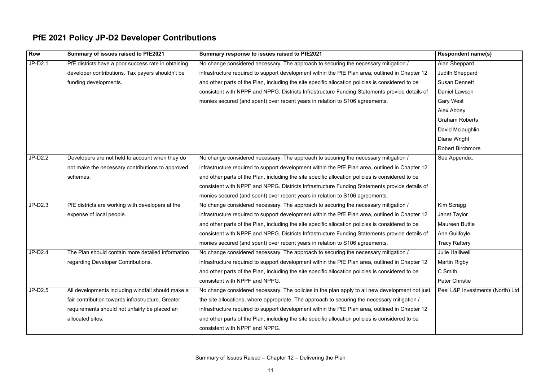### **PfE 2021 Policy JP-D2 Developer Contributions**

| <b>Row</b> | Summary of issues raised to PfE2021                 | Summary response to issues raised to PfE2021                                                     | <b>Respondent name(s)</b>        |
|------------|-----------------------------------------------------|--------------------------------------------------------------------------------------------------|----------------------------------|
| JP-D2.1    | PfE districts have a poor success rate in obtaining | No change considered necessary. The approach to securing the necessary mitigation /              | Alan Sheppard                    |
|            | developer contributions. Tax payers shouldn't be    | infrastructure required to support development within the PfE Plan area, outlined in Chapter 12  | <b>Judith Sheppard</b>           |
|            | funding developments.                               | and other parts of the Plan, including the site specific allocation policies is considered to be | <b>Susan Dennett</b>             |
|            |                                                     | consistent with NPPF and NPPG. Districts Infrastructure Funding Statements provide details of    | Daniel Lawson                    |
|            |                                                     | monies secured (and spent) over recent years in relation to S106 agreements.                     | <b>Gary West</b>                 |
|            |                                                     |                                                                                                  | Alex Abbey                       |
|            |                                                     |                                                                                                  | <b>Graham Roberts</b>            |
|            |                                                     |                                                                                                  | David Mclaughlin                 |
|            |                                                     |                                                                                                  | Diane Wright                     |
|            |                                                     |                                                                                                  | <b>Robert Birchmore</b>          |
| JP-D2.2    | Developers are not held to account when they do     | No change considered necessary. The approach to securing the necessary mitigation /              | See Appendix.                    |
|            | not make the necessary contributions to approved    | infrastructure required to support development within the PfE Plan area, outlined in Chapter 12  |                                  |
|            | schemes.                                            | and other parts of the Plan, including the site specific allocation policies is considered to be |                                  |
|            |                                                     | consistent with NPPF and NPPG. Districts Infrastructure Funding Statements provide details of    |                                  |
|            |                                                     | monies secured (and spent) over recent years in relation to S106 agreements.                     |                                  |
| $JP-D2.3$  | PfE districts are working with developers at the    | No change considered necessary. The approach to securing the necessary mitigation /              | Kim Scragg                       |
|            | expense of local people.                            | infrastructure required to support development within the PfE Plan area, outlined in Chapter 12  | Janet Taylor                     |
|            |                                                     | and other parts of the Plan, including the site specific allocation policies is considered to be | Maureen Buttle                   |
|            |                                                     | consistent with NPPF and NPPG. Districts Infrastructure Funding Statements provide details of    | Ann Guilfoyle                    |
|            |                                                     | monies secured (and spent) over recent years in relation to S106 agreements.                     | <b>Tracy Raftery</b>             |
| JP-D2.4    | The Plan should contain more detailed information   | No change considered necessary. The approach to securing the necessary mitigation /              | <b>Julie Halliwell</b>           |
|            | regarding Developer Contributions.                  | infrastructure required to support development within the PfE Plan area, outlined in Chapter 12  | <b>Martin Rigby</b>              |
|            |                                                     | and other parts of the Plan, including the site specific allocation policies is considered to be | C Smith                          |
|            |                                                     | consistent with NPPF and NPPG.                                                                   | <b>Peter Christie</b>            |
| $JP-D2.5$  | All developments including windfall should make a   | No change considered necessary. The policies in the plan apply to all new development not just   | Peel L&P Investments (North) Ltd |
|            | fair contribution towards infrastructure. Greater   | the site allocations, where appropriate. The approach to securing the necessary mitigation /     |                                  |
|            | requirements should not unfairly be placed an       | infrastructure required to support development within the PfE Plan area, outlined in Chapter 12  |                                  |
|            | allocated sites.                                    | and other parts of the Plan, including the site specific allocation policies is considered to be |                                  |
|            |                                                     | consistent with NPPF and NPPG.                                                                   |                                  |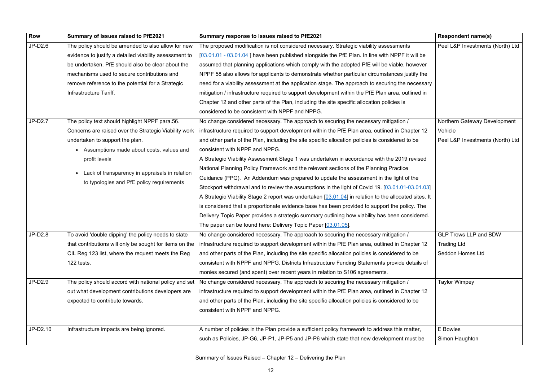| Row       | Summary of issues raised to PfE2021                         | Summary response to issues raised to PfE2021                                                          | <b>Respondent name(s)</b>        |
|-----------|-------------------------------------------------------------|-------------------------------------------------------------------------------------------------------|----------------------------------|
| $JP-D2.6$ | The policy should be amended to also allow for new          | The proposed modification is not considered necessary. Strategic viability assessments                | Peel L&P Investments (North) Ltd |
|           | evidence to justify a detailed viability assessment to      | [03.01.01 - 03.01.04] have been published alongside the PfE Plan. In line with NPPF it will be        |                                  |
|           | be undertaken. PfE should also be clear about the           | assumed that planning applications which comply with the adopted PfE will be viable, however          |                                  |
|           | mechanisms used to secure contributions and                 | NPPF 58 also allows for applicants to demonstrate whether particular circumstances justify the        |                                  |
|           | remove reference to the potential for a Strategic           | need for a viability assessment at the application stage. The approach to securing the necessary      |                                  |
|           | Infrastructure Tariff.                                      | mitigation / infrastructure required to support development within the PfE Plan area, outlined in     |                                  |
|           |                                                             | Chapter 12 and other parts of the Plan, including the site specific allocation policies is            |                                  |
|           |                                                             | considered to be consistent with NPPF and NPPG.                                                       |                                  |
| $JP-D2.7$ | The policy text should highlight NPPF para.56.              | No change considered necessary. The approach to securing the necessary mitigation /                   | Northern Gateway Development     |
|           | Concerns are raised over the Strategic Viability work       | infrastructure required to support development within the PfE Plan area, outlined in Chapter 12       | Vehicle                          |
|           | undertaken to support the plan.                             | and other parts of the Plan, including the site specific allocation policies is considered to be      | Peel L&P Investments (North) Ltd |
|           | • Assumptions made about costs, values and                  | consistent with NPPF and NPPG.                                                                        |                                  |
|           | profit levels                                               | A Strategic Viability Assessment Stage 1 was undertaken in accordance with the 2019 revised           |                                  |
|           |                                                             | National Planning Policy Framework and the relevant sections of the Planning Practice                 |                                  |
|           | Lack of transparency in appraisals in relation<br>$\bullet$ | Guidance (PPG). An Addendum was prepared to update the assessment in the light of the                 |                                  |
|           | to typologies and PfE policy requirements                   | Stockport withdrawal and to review the assumptions in the light of Covid 19. [03.01.01-03.01.03]      |                                  |
|           |                                                             | A Strategic Viability Stage 2 report was undertaken [03.01.04] in relation to the allocated sites. It |                                  |
|           |                                                             | is considered that a proportionate evidence base has been provided to support the policy. The         |                                  |
|           |                                                             | Delivery Topic Paper provides a strategic summary outlining how viability has been considered.        |                                  |
|           |                                                             | The paper can be found here: Delivery Topic Paper [03.01.05].                                         |                                  |
| JP-D2.8   | To avoid 'double dipping' the policy needs to state         | No change considered necessary. The approach to securing the necessary mitigation /                   | <b>GLP Trows LLP and BDW</b>     |
|           | that contributions will only be sought for items on the     | infrastructure required to support development within the PfE Plan area, outlined in Chapter 12       | <b>Trading Ltd</b>               |
|           | CIL Reg 123 list, where the request meets the Reg           | and other parts of the Plan, including the site specific allocation policies is considered to be      | <b>Seddon Homes Ltd</b>          |
|           | 122 tests.                                                  | consistent with NPPF and NPPG. Districts Infrastructure Funding Statements provide details of         |                                  |
|           |                                                             | monies secured (and spent) over recent years in relation to S106 agreements.                          |                                  |
| JP-D2.9   | The policy should accord with national policy and set       | No change considered necessary. The approach to securing the necessary mitigation /                   | <b>Taylor Wimpey</b>             |
|           | out what development contributions developers are           | infrastructure required to support development within the PfE Plan area, outlined in Chapter 12       |                                  |
|           | expected to contribute towards.                             | and other parts of the Plan, including the site specific allocation policies is considered to be      |                                  |
|           |                                                             | consistent with NPPF and NPPG.                                                                        |                                  |
|           |                                                             |                                                                                                       |                                  |
| JP-D2.10  | Infrastructure impacts are being ignored.                   | A number of policies in the Plan provide a sufficient policy framework to address this matter,        | E Bowles                         |
|           |                                                             | such as Policies, JP-G6, JP-P1, JP-P5 and JP-P6 which state that new development must be              | Simon Haughton                   |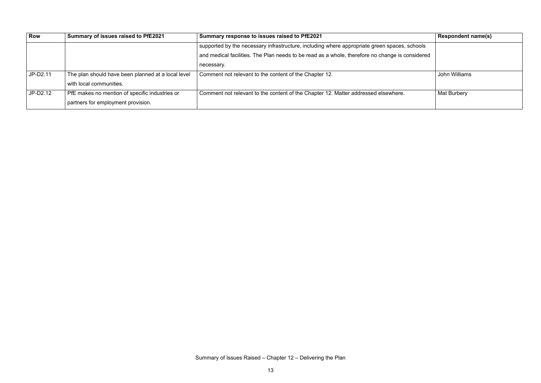| Row        | Summary of issues raised to PfE2021                | Summary response to issues raised to PfE2021                                                           | <b>Respondent name(s)</b> |
|------------|----------------------------------------------------|--------------------------------------------------------------------------------------------------------|---------------------------|
|            |                                                    | $\mid$ supported by the necessary infrastructure, including where appropriate green spaces, schools    |                           |
|            |                                                    | $\mid$ and medical facilities. The Plan needs to be read as a whole, therefore no change is considered |                           |
|            |                                                    | necessary.                                                                                             |                           |
| JP-D2.11   | The plan should have been planned at a local level | Comment not relevant to the content of the Chapter 12.                                                 | John Williams             |
|            | with local communities.                            |                                                                                                        |                           |
| $JP-D2.12$ | PfE makes no mention of specific industries or     | Comment not relevant to the content of the Chapter 12. Matter addressed elsewhere.                     | <b>Mat Burbery</b>        |
|            | partners for employment provision.                 |                                                                                                        |                           |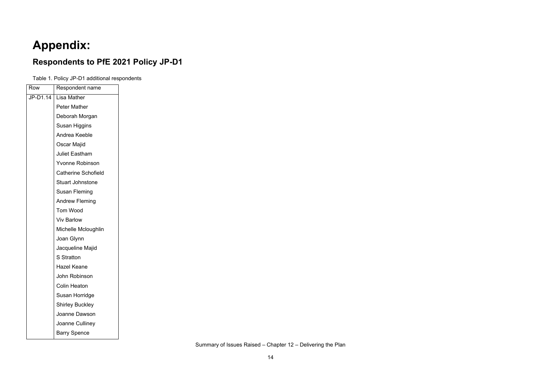# **Appendix:**

#### **Respondents to PfE 2021 Policy JP-D1**

Table 1. Policy JP-D1 additional respondents

| Row      | Respondent name            |
|----------|----------------------------|
| JP-D1.14 | Lisa Mather                |
|          | <b>Peter Mather</b>        |
|          | Deborah Morgan             |
|          | Susan Higgins              |
|          | Andrea Keeble              |
|          | Oscar Majid                |
|          | <b>Juliet Eastham</b>      |
|          | <b>Yvonne Robinson</b>     |
|          | <b>Catherine Schofield</b> |
|          | <b>Stuart Johnstone</b>    |
|          | Susan Fleming              |
|          | <b>Andrew Fleming</b>      |
|          | <b>Tom Wood</b>            |
|          | <b>Viv Barlow</b>          |
|          | Michelle Mcloughlin        |
|          | Joan Glynn                 |
|          | Jacqueline Majid           |
|          | <b>S</b> Stratton          |
|          | <b>Hazel Keane</b>         |
|          | John Robinson              |
|          | Colin Heaton               |
|          | Susan Horridge             |
|          | <b>Shirley Buckley</b>     |
|          | Joanne Dawson              |
|          | Joanne Culliney            |
|          | <b>Barry Spence</b>        |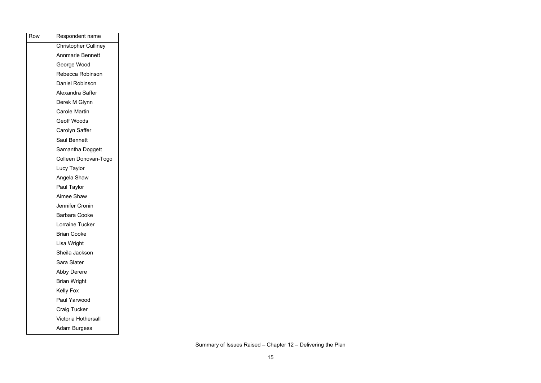| Row | Respondent name             |
|-----|-----------------------------|
|     | <b>Christopher Culliney</b> |
|     | <b>Annmarie Bennett</b>     |
|     | George Wood                 |
|     | Rebecca Robinson            |
|     | <b>Daniel Robinson</b>      |
|     | Alexandra Saffer            |
|     | Derek M Glynn               |
|     | <b>Carole Martin</b>        |
|     | <b>Geoff Woods</b>          |
|     | Carolyn Saffer              |
|     | <b>Saul Bennett</b>         |
|     | Samantha Doggett            |
|     | Colleen Donovan-Togo        |
|     | Lucy Taylor                 |
|     | Angela Shaw                 |
|     | Paul Taylor                 |
|     | <b>Aimee Shaw</b>           |
|     | Jennifer Cronin             |
|     | <b>Barbara Cooke</b>        |
|     | Lorraine Tucker             |
|     | <b>Brian Cooke</b>          |
|     | Lisa Wright                 |
|     | Sheila Jackson              |
|     | Sara Slater                 |
|     | <b>Abby Derere</b>          |
|     | <b>Brian Wright</b>         |
|     | <b>Kelly Fox</b>            |
|     | Paul Yarwood                |
|     | <b>Craig Tucker</b>         |
|     | Victoria Hothersall         |
|     | <b>Adam Burgess</b>         |
|     |                             |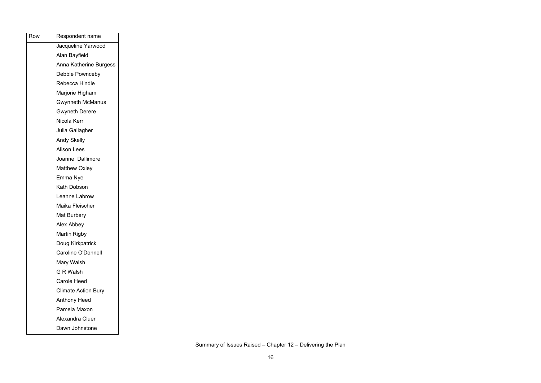| Row | Respondent name            |
|-----|----------------------------|
|     | Jacqueline Yarwood         |
|     | Alan Bayfield              |
|     | Anna Katherine Burgess     |
|     | Debbie Pownceby            |
|     | Rebecca Hindle             |
|     | Marjorie Higham            |
|     | Gwynneth McManus           |
|     | <b>Gwyneth Derere</b>      |
|     | Nicola Kerr                |
|     | Julia Gallagher            |
|     | <b>Andy Skelly</b>         |
|     | <b>Alison Lees</b>         |
|     | Joanne Dallimore           |
|     | <b>Matthew Oxley</b>       |
|     | Emma Nye                   |
|     | <b>Kath Dobson</b>         |
|     | Leanne Labrow              |
|     | Maika Fleischer            |
|     | <b>Mat Burbery</b>         |
|     | Alex Abbey                 |
|     | <b>Martin Rigby</b>        |
|     | Doug Kirkpatrick           |
|     | <b>Caroline O'Donnell</b>  |
|     | Mary Walsh                 |
|     | <b>G R Walsh</b>           |
|     | <b>Carole Heed</b>         |
|     | <b>Climate Action Bury</b> |
|     | <b>Anthony Heed</b>        |
|     | Pamela Maxon               |
|     | Alexandra Cluer            |
|     | Dawn Johnstone             |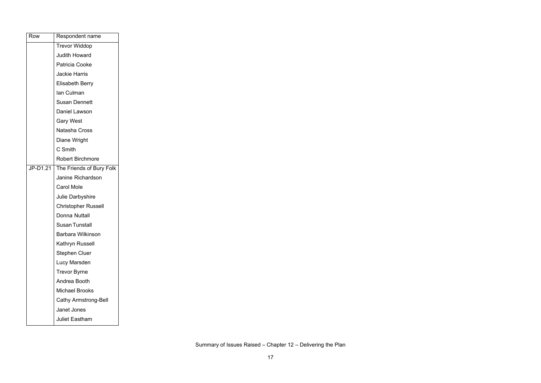| Row      | Respondent name             |
|----------|-----------------------------|
|          | <b>Trevor Widdop</b>        |
|          | <b>Judith Howard</b>        |
|          | Patricia Cooke              |
|          | <b>Jackie Harris</b>        |
|          | <b>Elisabeth Berry</b>      |
|          | lan Culman                  |
|          | <b>Susan Dennett</b>        |
|          | <b>Daniel Lawson</b>        |
|          | <b>Gary West</b>            |
|          | <b>Natasha Cross</b>        |
|          | Diane Wright                |
|          | C Smith                     |
|          | <b>Robert Birchmore</b>     |
| JP-D1.21 | The Friends of Bury Folk    |
|          | <b>Janine Richardson</b>    |
|          | <b>Carol Mole</b>           |
|          | <b>Julie Darbyshire</b>     |
|          | <b>Christopher Russell</b>  |
|          | <b>Donna Nuttall</b>        |
|          | <b>Susan Tunstall</b>       |
|          | <b>Barbara Wilkinson</b>    |
|          | Kathryn Russell             |
|          | <b>Stephen Cluer</b>        |
|          | Lucy Marsden                |
|          | <b>Trevor Byrne</b>         |
|          | Andrea Booth                |
|          | <b>Michael Brooks</b>       |
|          | <b>Cathy Armstrong-Bell</b> |
|          | Janet Jones                 |
|          | <b>Juliet Eastham</b>       |
|          |                             |